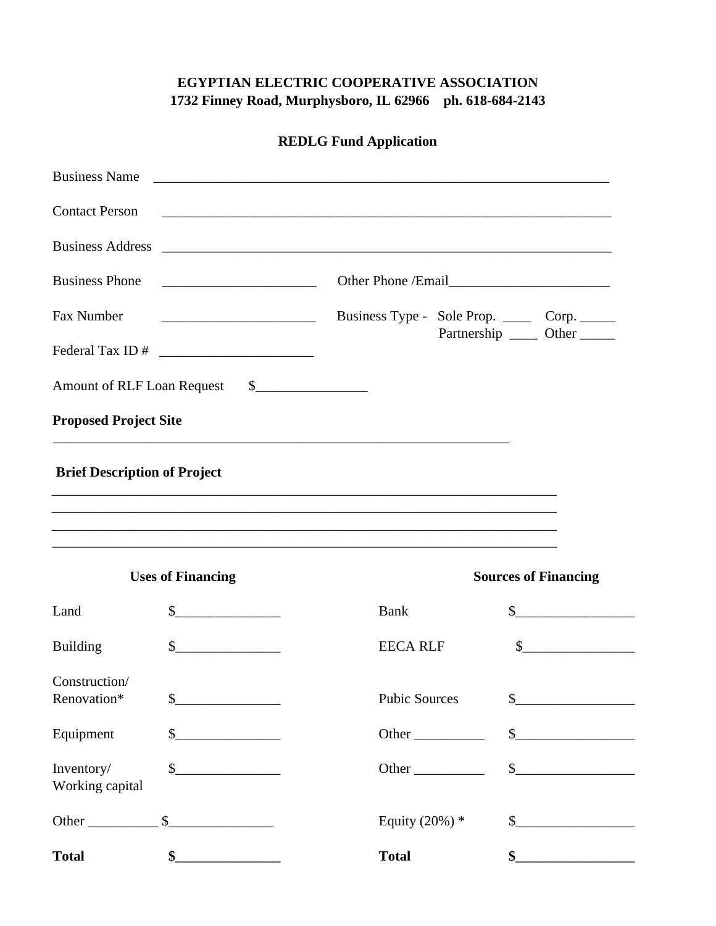## **EGYPTIAN ELECTRIC COOPERATIVE ASSOCIATION 1732 Finney Road, Murphysboro, IL 62966 ph. 618-684-2143**

| <b>Business Name</b>                |                          | <u> 2008 - Jan Barnett, amerikansk politik (d. 1888)</u> |                                                                                                                                                                                                                                                                                                                                                     |
|-------------------------------------|--------------------------|----------------------------------------------------------|-----------------------------------------------------------------------------------------------------------------------------------------------------------------------------------------------------------------------------------------------------------------------------------------------------------------------------------------------------|
| <b>Contact Person</b>               |                          |                                                          |                                                                                                                                                                                                                                                                                                                                                     |
|                                     |                          |                                                          |                                                                                                                                                                                                                                                                                                                                                     |
| <b>Business Phone</b>               |                          |                                                          |                                                                                                                                                                                                                                                                                                                                                     |
| Fax Number                          |                          | Business Type - Sole Prop. ______ Corp. ______           |                                                                                                                                                                                                                                                                                                                                                     |
|                                     |                          |                                                          | Partnership ______ Other ______                                                                                                                                                                                                                                                                                                                     |
|                                     |                          |                                                          |                                                                                                                                                                                                                                                                                                                                                     |
| <b>Proposed Project Site</b>        |                          |                                                          |                                                                                                                                                                                                                                                                                                                                                     |
| <b>Brief Description of Project</b> |                          |                                                          |                                                                                                                                                                                                                                                                                                                                                     |
|                                     | <b>Uses of Financing</b> |                                                          | <b>Sources of Financing</b>                                                                                                                                                                                                                                                                                                                         |
| Land                                | $\frac{1}{2}$            | <b>Bank</b>                                              | $\frac{\text{S}}{\text{S}}$                                                                                                                                                                                                                                                                                                                         |
| <b>Building</b>                     | $\sim$                   | <b>EECA RLF</b>                                          |                                                                                                                                                                                                                                                                                                                                                     |
| Construction/<br>Renovation*        | \$                       | <b>Pubic Sources</b>                                     | \$                                                                                                                                                                                                                                                                                                                                                  |
| Equipment                           | $\frac{1}{2}$            |                                                          | $\frac{1}{2}$                                                                                                                                                                                                                                                                                                                                       |
| Inventory/<br>Working capital       | s                        | Other                                                    | $\begin{picture}(20,10) \put(0,0){\line(1,0){10}} \put(15,0){\line(1,0){10}} \put(15,0){\line(1,0){10}} \put(15,0){\line(1,0){10}} \put(15,0){\line(1,0){10}} \put(15,0){\line(1,0){10}} \put(15,0){\line(1,0){10}} \put(15,0){\line(1,0){10}} \put(15,0){\line(1,0){10}} \put(15,0){\line(1,0){10}} \put(15,0){\line(1,0){10}} \put(15,0){\line(1$ |
|                                     |                          | Equity $(20%)$ *                                         |                                                                                                                                                                                                                                                                                                                                                     |
| <b>Total</b>                        | $\frac{1}{2}$            | <b>Total</b>                                             | $\bullet$ $\qquad$                                                                                                                                                                                                                                                                                                                                  |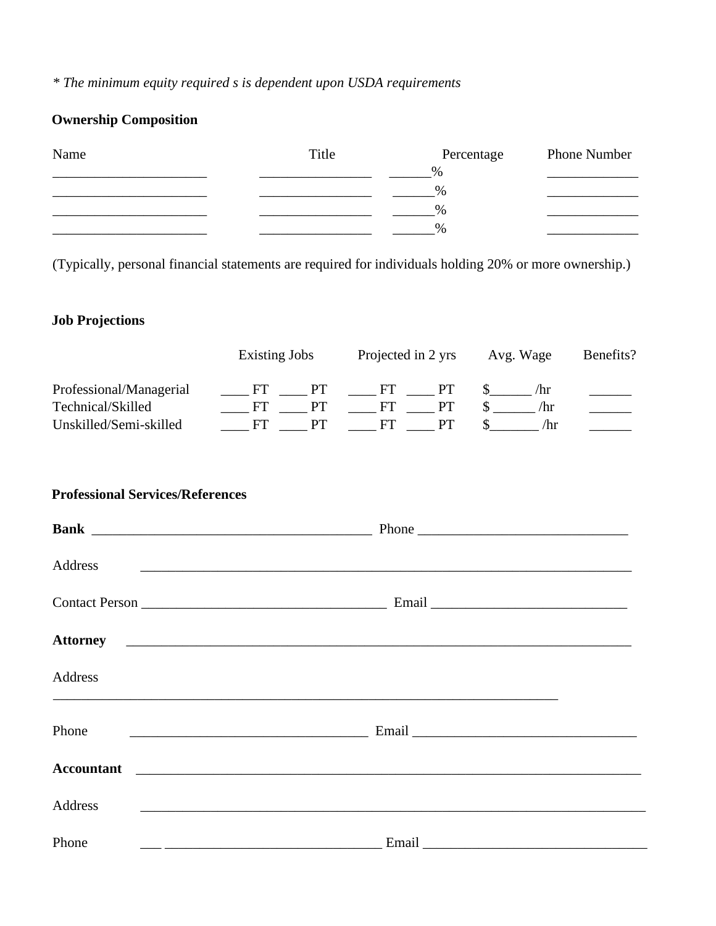## *\* The minimum equity required s is dependent upon USDA requirements*

# **Ownership Composition**

| Name | Title | Percentage    | <b>Phone Number</b> |
|------|-------|---------------|---------------------|
|      |       | $\%$          |                     |
|      |       | $\%$          |                     |
|      |       | $\%$          |                     |
|      |       | $\frac{0}{0}$ |                     |

(Typically, personal financial statements are required for individuals holding 20% or more ownership.)

## **Job Projections**

|                         | Existing Jobs |       | Projected in 2 yrs |  | Avg. Wage | Benefits? |
|-------------------------|---------------|-------|--------------------|--|-----------|-----------|
| Professional/Managerial | ΕL            | $-PT$ | FГ                 |  | /hr       |           |
| Technical/Skilled       |               | PТ    | FГ                 |  | /hr       |           |
| Unskilled/Semi-skilled  |               |       |                    |  | /hr       |           |

### **Professional Services/References**

| Address           | <u> 1980 - Johann Barn, fransk politik (f. 1980)</u> |  |
|-------------------|------------------------------------------------------|--|
|                   |                                                      |  |
|                   |                                                      |  |
| Address           |                                                      |  |
| Phone             |                                                      |  |
| <b>Accountant</b> |                                                      |  |
| Address           |                                                      |  |
| Phone             | Email                                                |  |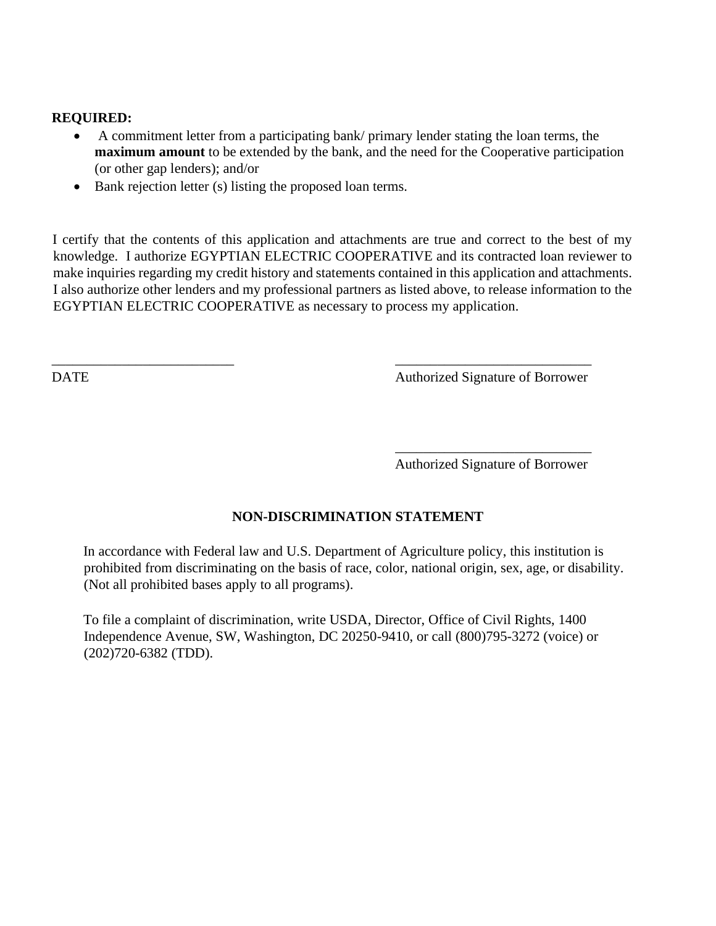#### **REQUIRED:**

- A commitment letter from a participating bank/ primary lender stating the loan terms, the **maximum amount** to be extended by the bank, and the need for the Cooperative participation (or other gap lenders); and/or
- Bank rejection letter (s) listing the proposed loan terms.

I certify that the contents of this application and attachments are true and correct to the best of my knowledge. I authorize EGYPTIAN ELECTRIC COOPERATIVE and its contracted loan reviewer to make inquiries regarding my credit history and statements contained in this application and attachments. I also authorize other lenders and my professional partners as listed above, to release information to the EGYPTIAN ELECTRIC COOPERATIVE as necessary to process my application.

 $\overline{\phantom{a}}$  , and the contract of the contract of the contract of the contract of the contract of the contract of the contract of the contract of the contract of the contract of the contract of the contract of the contrac

DATE **DATE Authorized Signature of Borrower** 

\_\_\_\_\_\_\_\_\_\_\_\_\_\_\_\_\_\_\_\_\_\_\_\_\_\_\_\_ Authorized Signature of Borrower

#### **NON-DISCRIMINATION STATEMENT**

In accordance with Federal law and U.S. Department of Agriculture policy, this institution is prohibited from discriminating on the basis of race, color, national origin, sex, age, or disability. (Not all prohibited bases apply to all programs).

To file a complaint of discrimination, write USDA, Director, Office of Civil Rights, 1400 Independence Avenue, SW, Washington, DC 20250-9410, or call (800)795-3272 (voice) or (202)720-6382 (TDD).